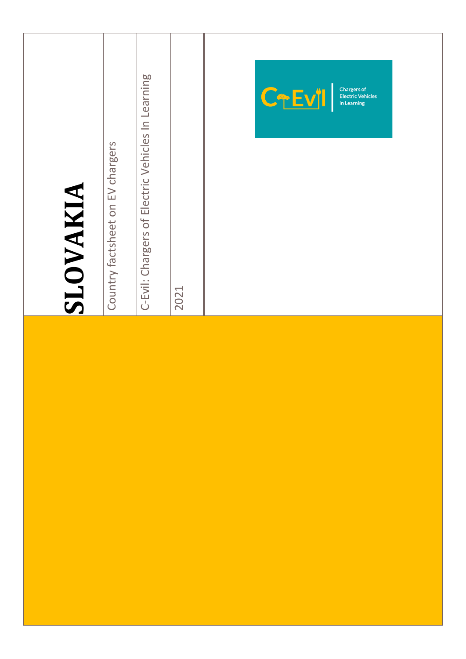| SLOVAKIA | Country factsheet on EV chargers | C-Evil: Chargers of Electric Vehicles In Learning | 2021 | <b>Chargers of</b><br>CTEVI<br><b>Electric Vehicles</b><br>in Learning |
|----------|----------------------------------|---------------------------------------------------|------|------------------------------------------------------------------------|
|          |                                  |                                                   |      |                                                                        |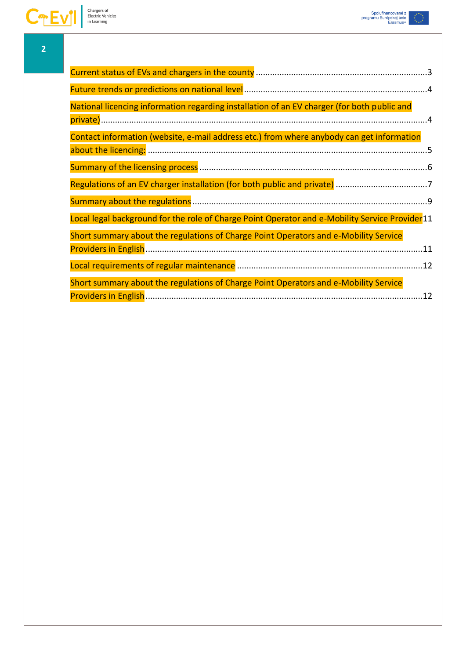| National licencing information regarding installation of an EV charger (for both public and     |
|-------------------------------------------------------------------------------------------------|
|                                                                                                 |
| Contact information (website, e-mail address etc.) from where anybody can get information       |
|                                                                                                 |
|                                                                                                 |
|                                                                                                 |
|                                                                                                 |
| Local legal background for the role of Charge Point Operator and e-Mobility Service Provider 11 |
| Short summary about the regulations of Charge Point Operators and e-Mobility Service            |
|                                                                                                 |
|                                                                                                 |
| Short summary about the regulations of Charge Point Operators and e-Mobility Service            |
|                                                                                                 |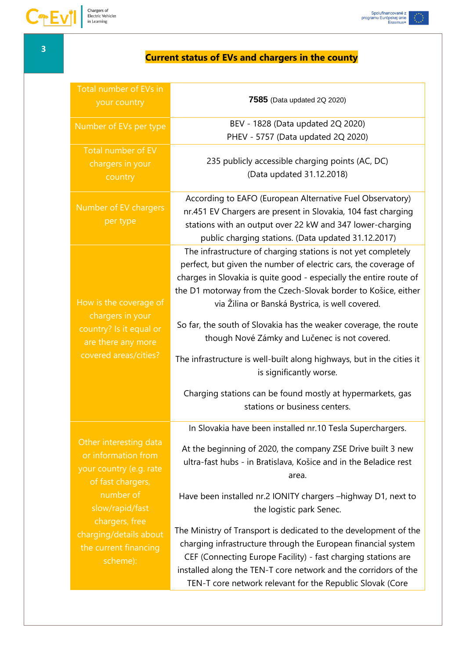# **Current status of EVs and chargers in the county**

<span id="page-2-0"></span>

| Total number of EVs in<br>your country                                                                                                                                                                         | 7585 (Data updated 2Q 2020)                                                                                                                                                                                                                                                                                                                                                                                                                                                                                                                                                                                                                         |
|----------------------------------------------------------------------------------------------------------------------------------------------------------------------------------------------------------------|-----------------------------------------------------------------------------------------------------------------------------------------------------------------------------------------------------------------------------------------------------------------------------------------------------------------------------------------------------------------------------------------------------------------------------------------------------------------------------------------------------------------------------------------------------------------------------------------------------------------------------------------------------|
| Number of EVs per type                                                                                                                                                                                         | BEV - 1828 (Data updated 2Q 2020)<br>PHEV - 5757 (Data updated 2Q 2020)                                                                                                                                                                                                                                                                                                                                                                                                                                                                                                                                                                             |
| Total number of EV<br>chargers in your<br>country                                                                                                                                                              | 235 publicly accessible charging points (AC, DC)<br>(Data updated 31.12.2018)                                                                                                                                                                                                                                                                                                                                                                                                                                                                                                                                                                       |
| Number of EV chargers<br>per type                                                                                                                                                                              | According to EAFO (European Alternative Fuel Observatory)<br>nr.451 EV Chargers are present in Slovakia, 104 fast charging<br>stations with an output over 22 kW and 347 lower-charging<br>public charging stations. (Data updated 31.12.2017)                                                                                                                                                                                                                                                                                                                                                                                                      |
| How is the coverage of<br>chargers in your<br>country? Is it equal or<br>are there any more<br>covered areas/cities?                                                                                           | The infrastructure of charging stations is not yet completely<br>perfect, but given the number of electric cars, the coverage of<br>charges in Slovakia is quite good - especially the entire route of<br>the D1 motorway from the Czech-Slovak border to Košice, either<br>via Žilina or Banská Bystrica, is well covered.<br>So far, the south of Slovakia has the weaker coverage, the route<br>though Nové Zámky and Lučenec is not covered.<br>The infrastructure is well-built along highways, but in the cities it<br>is significantly worse.<br>Charging stations can be found mostly at hypermarkets, gas<br>stations or business centers. |
| Other interesting data<br>or information from<br>your country (e.g. rate<br>of fast chargers,<br>number of<br>slow/rapid/fast<br>chargers, free<br>charging/details about<br>the current financing<br>scheme): | In Slovakia have been installed nr.10 Tesla Superchargers.<br>At the beginning of 2020, the company ZSE Drive built 3 new<br>ultra-fast hubs - in Bratislava, Košice and in the Beladice rest<br>area.<br>Have been installed nr.2 IONITY chargers -highway D1, next to<br>the logistic park Senec.<br>The Ministry of Transport is dedicated to the development of the<br>charging infrastructure through the European financial system<br>CEF (Connecting Europe Facility) - fast charging stations are<br>installed along the TEN-T core network and the corridors of the<br>TEN-T core network relevant for the Republic Slovak (Core           |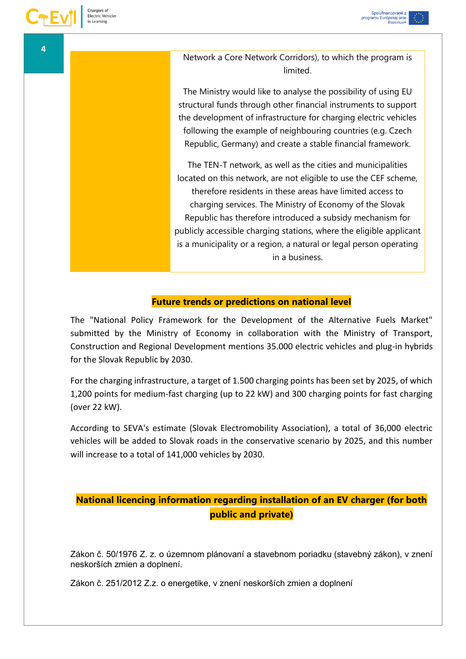Network a Core Network Corridors), to which the program is limited.

The Ministry would like to analyse the possibility of using EU structural funds through other financial instruments to support the development of infrastructure for charging electric vehicles following the example of neighbouring countries (e.g. Czech Republic, Germany) and create a stable financial framework.

The TEN-T network, as well as the cities and municipalities located on this network, are not eligible to use the CEF scheme, therefore residents in these areas have limited access to charging services. The Ministry of Economy of the Slovak Republic has therefore introduced a subsidy mechanism for publicly accessible charging stations, where the eligible applicant is a municipality or a region, a natural or legal person operating in a business.

#### **Future trends or predictions on national level**

<span id="page-3-0"></span>The "National Policy Framework for the Development of the Alternative Fuels Market" submitted by the Ministry of Economy in collaboration with the Ministry of Transport, Construction and Regional Development mentions 35.000 electric vehicles and plug-in hybrids for the Slovak Republic by 2030.

For the charging infrastructure, a target of 1.500 charging points has been set by 2025, of which 1,200 points for medium-fast charging (up to 22 kW) and 300 charging points for fast charging (over 22 kW).

According to SEVA's estimate (Slovak Electromobility Association), a total of 36,000 electric vehicles will be added to Slovak roads in the conservative scenario by 2025, and this number will increase to a total of 141,000 vehicles by 2030.

# <span id="page-3-1"></span>**National licencing information regarding installation of an EV charger (for both public and private)**

Zákon č. 50/1976 Z. z. o územnom plánovaní a stavebnom poriadku (stavebný zákon), v znení neskorších zmien a doplnení.

Zákon č. 251/2012 Z.z. o energetike, v znení neskorších zmien a doplnení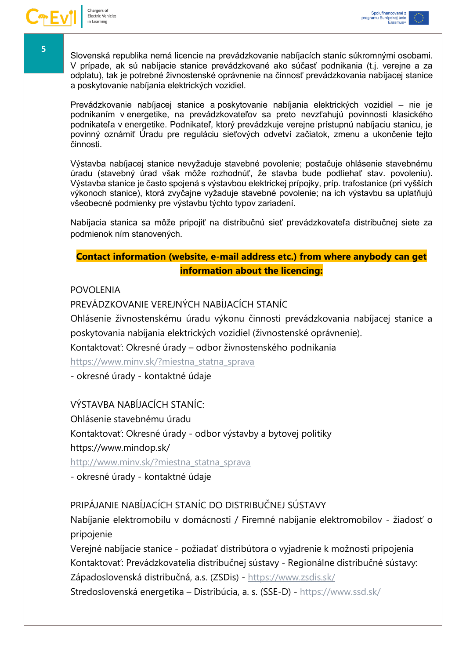Slovenská republika nemá licencie na prevádzkovanie nabíjacích staníc súkromnými osobami. V prípade, ak sú nabíjacie stanice prevádzkované ako súčasť podnikania (t.j. verejne a za odplatu), tak je potrebné živnostenské oprávnenie na činnosť prevádzkovania nabíjacej stanice a poskytovanie nabíjania elektrických vozidiel.

Prevádzkovanie nabíjacej stanice a poskytovanie nabíjania elektrických vozidiel – nie je podnikaním v energetike, na prevádzkovateľov sa preto nevzťahujú povinnosti klasického podnikateľa v energetike. Podnikateľ, ktorý prevádzkuje verejne prístupnú nabíjaciu stanicu, je povinný oznámiť Úradu pre reguláciu sieťových odvetví začiatok, zmenu a ukončenie tejto činnosti.

Výstavba nabíjacej stanice nevyžaduje stavebné povolenie; postačuje ohlásenie stavebnému úradu (stavebný úrad však môže rozhodnúť, že stavba bude podliehať stav. povoleniu). Výstavba stanice je často spojená s výstavbou elektrickej prípojky, príp. trafostanice (pri vyšších výkonoch stanice), ktorá zvyčajne vyžaduje stavebné povolenie; na ich výstavbu sa uplatňujú všeobecné podmienky pre výstavbu týchto typov zariadení.

Nabíjacia stanica sa môže pripojiť na distribučnú sieť prevádzkovateľa distribučnej siete za podmienok ním stanovených.

## <span id="page-4-0"></span>**Contact information (website, e-mail address etc.) from where anybody can get information about the licencing:**

POVOLENIA

PREVÁDZKOVANIE VEREJNÝCH NABÍJACÍCH STANÍC

Ohlásenie živnostenskému úradu výkonu činnosti prevádzkovania nabíjacej stanice a poskytovania nabíjania elektrických vozidiel (živnostenské oprávnenie).

Kontaktovať: Okresné úrady – odbor živnostenského podnikania

[https://www.minv.sk/?miestna\\_statna\\_sprava](https://www.minv.sk/?miestna_statna_sprava)

- okresné úrady - kontaktné údaje

VÝSTAVBA NABÍJACÍCH STANÍC:

Ohlásenie stavebnému úradu

Kontaktovať: Okresné úrady - odbor výstavby a bytovej politiky

https://www.mindop.sk/

[http://www.minv.sk/?miestna\\_statna\\_sprava](http://www.minv.sk/?miestna_statna_sprava)

- okresné úrady - kontaktné údaje

## PRIPÁJANIE NABÍJACÍCH STANÍC DO DISTRIBUČNEJ SÚSTAVY

Nabíjanie elektromobilu v domácnosti / Firemné nabíjanie elektromobilov - žiadosť o pripojenie

Verejné nabíjacie stanice - požiadať distribútora o vyjadrenie k možnosti pripojenia Kontaktovať: Prevádzkovatelia distribučnej sústavy - Regionálne distribučné sústavy: Západoslovenská distribučná, a.s. (ZSDis) - <https://www.zsdis.sk/>

Stredoslovenská energetika – Distribúcia, a. s. (SSE-D) - <https://www.ssd.sk/>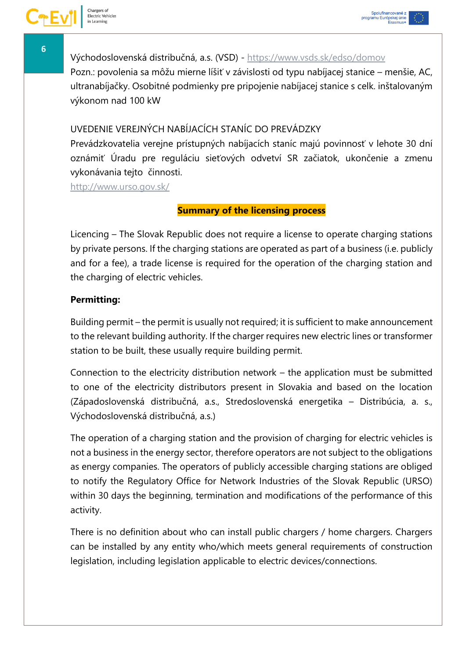Východoslovenská distribučná, a.s. (VSD) - <https://www.vsds.sk/edso/domov> Pozn.: povolenia sa môžu mierne líšiť v závislosti od typu nabíjacej stanice – menšie, AC, ultranabíjačky. Osobitné podmienky pre pripojenie nabíjacej stanice s celk. inštalovaným výkonom nad 100 kW

## UVEDENIE VEREJNÝCH NABÍJACÍCH STANÍC DO PREVÁDZKY

Prevádzkovatelia verejne prístupných nabíjacích staníc majú povinnosť v lehote 30 dní oznámiť Úradu pre reguláciu sieťových odvetví SR začiatok, ukončenie a zmenu vykonávania tejto činnosti.

<span id="page-5-0"></span><http://www.urso.gov.sk/>

## **Summary of the licensing process**

Licencing – The Slovak Republic does not require a license to operate charging stations by private persons. If the charging stations are operated as part of a business (i.e. publicly and for a fee), a trade license is required for the operation of the charging station and the charging of electric vehicles.

## **Permitting:**

Building permit – the permit is usually not required; it is sufficient to make announcement to the relevant building authority. If the charger requires new electric lines or transformer station to be built, these usually require building permit.

Connection to the electricity distribution network – the application must be submitted to one of the electricity distributors present in Slovakia and based on the location (Západoslovenská distribučná, a.s., Stredoslovenská energetika – Distribúcia, a. s., Východoslovenská distribučná, a.s.)

The operation of a charging station and the provision of charging for electric vehicles is not a business in the energy sector, therefore operators are not subject to the obligations as energy companies. The operators of publicly accessible charging stations are obliged to notify the Regulatory Office for Network Industries of the Slovak Republic (URSO) within 30 days the beginning, termination and modifications of the performance of this activity.

There is no definition about who can install public chargers / home chargers. Chargers can be installed by any entity who/which meets general requirements of construction legislation, including legislation applicable to electric devices/connections.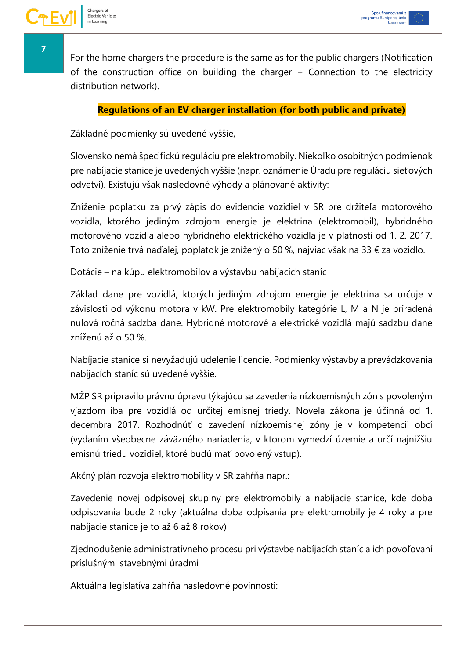For the home chargers the procedure is the same as for the public chargers (Notification of the construction office on building the charger + Connection to the electricity distribution network).

#### **Regulations of an EV charger installation (for both public and private)**

<span id="page-6-0"></span>Základné podmienky sú uvedené vyššie,

Slovensko nemá špecifickú reguláciu pre elektromobily. Niekoľko osobitných podmienok pre nabíjacie stanice je uvedených vyššie (napr. oznámenie Úradu pre reguláciu sieťových odvetví). Existujú však nasledovné výhody a plánované aktivity:

Zníženie poplatku za prvý zápis do evidencie vozidiel v SR pre držiteľa motorového vozidla, ktorého jediným zdrojom energie je elektrina (elektromobil), hybridného motorového vozidla alebo hybridného elektrického vozidla je v platnosti od 1. 2. 2017. Toto zníženie trvá naďalej, poplatok je znížený o 50 %, najviac však na 33 € za vozidlo.

Dotácie – na kúpu elektromobilov a výstavbu nabíjacích staníc

Základ dane pre vozidlá, ktorých jediným zdrojom energie je elektrina sa určuje v závislosti od výkonu motora v kW. Pre elektromobily kategórie L, M a N je priradená nulová ročná sadzba dane. Hybridné motorové a elektrické vozidlá majú sadzbu dane zníženú až o 50 %.

Nabíjacie stanice si nevyžadujú udelenie licencie. Podmienky výstavby a prevádzkovania nabíjacích staníc sú uvedené vyššie.

MŽP SR pripravilo právnu úpravu týkajúcu sa zavedenia nízkoemisných zón s povoleným vjazdom iba pre vozidlá od určitej emisnej triedy. Novela zákona je účinná od 1. decembra 2017. Rozhodnúť o zavedení nízkoemisnej zóny je v kompetencii obcí (vydaním všeobecne záväzného nariadenia, v ktorom vymedzí územie a určí najnižšiu emisnú triedu vozidiel, ktoré budú mať povolený vstup).

Akčný plán rozvoja elektromobility v SR zahŕňa napr.:

Zavedenie novej odpisovej skupiny pre elektromobily a nabíjacie stanice, kde doba odpisovania bude 2 roky (aktuálna doba odpísania pre elektromobily je 4 roky a pre nabíjacie stanice je to až 6 až 8 rokov)

Zjednodušenie administratívneho procesu pri výstavbe nabíjacích staníc a ich povoľovaní príslušnými stavebnými úradmi

Aktuálna legislatíva zahŕňa nasledovné povinnosti:

Spolufinancované z<br>programu Európskej únie<br>Erasmus+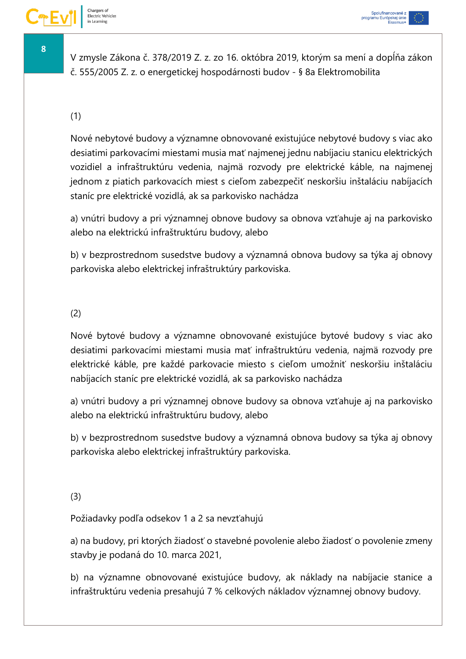Spolufinancované z<br>programu Európskej únie<br>Erasmus+

V zmysle Zákona č. 378/2019 Z. z. zo 16. októbra 2019, ktorým sa mení a dopĺňa zákon č. 555/2005 Z. z. o energetickej hospodárnosti budov - § 8a Elektromobilita

# (1)

Nové nebytové budovy a významne obnovované existujúce nebytové budovy s viac ako desiatimi parkovacími miestami musia mať najmenej jednu nabíjaciu stanicu elektrických vozidiel a infraštruktúru vedenia, najmä rozvody pre elektrické káble, na najmenej jednom z piatich parkovacích miest s cieľom zabezpečiť neskoršiu inštaláciu nabíjacích staníc pre elektrické vozidlá, ak sa parkovisko nachádza

a) vnútri budovy a pri významnej obnove budovy sa obnova vzťahuje aj na parkovisko alebo na elektrickú infraštruktúru budovy, alebo

b) v bezprostrednom susedstve budovy a významná obnova budovy sa týka aj obnovy parkoviska alebo elektrickej infraštruktúry parkoviska.

## (2)

Nové bytové budovy a významne obnovované existujúce bytové budovy s viac ako desiatimi parkovacími miestami musia mať infraštruktúru vedenia, najmä rozvody pre elektrické káble, pre každé parkovacie miesto s cieľom umožniť neskoršiu inštaláciu nabíjacích staníc pre elektrické vozidlá, ak sa parkovisko nachádza

a) vnútri budovy a pri významnej obnove budovy sa obnova vzťahuje aj na parkovisko alebo na elektrickú infraštruktúru budovy, alebo

b) v bezprostrednom susedstve budovy a významná obnova budovy sa týka aj obnovy parkoviska alebo elektrickej infraštruktúry parkoviska.

#### (3)

Požiadavky podľa odsekov 1 a 2 sa nevzťahujú

a) na budovy, pri ktorých žiadosť o stavebné povolenie alebo žiadosť o povolenie zmeny stavby je podaná do 10. marca 2021,

b) na významne obnovované existujúce budovy, ak náklady na nabíjacie stanice a infraštruktúru vedenia presahujú 7 % celkových nákladov významnej obnovy budovy.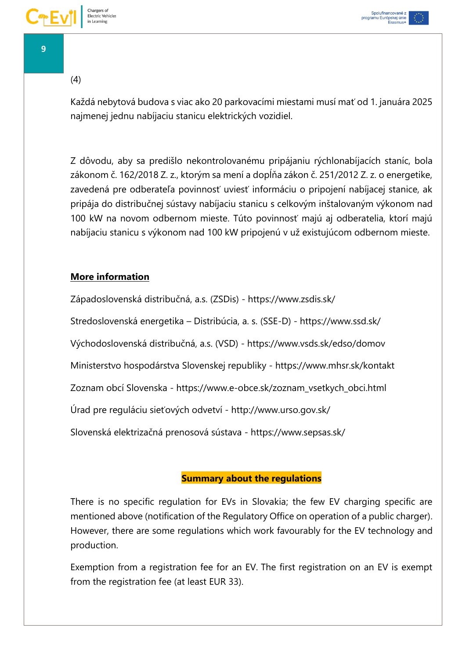#### (4)

Každá nebytová budova s viac ako 20 parkovacími miestami musí mať od 1. januára 2025 najmenej jednu nabíjaciu stanicu elektrických vozidiel.

Z dôvodu, aby sa predišlo nekontrolovanému pripájaniu rýchlonabíjacích staníc, bola zákonom č. 162/2018 Z. z., ktorým sa mení a dopĺňa zákon č. 251/2012 Z. z. o energetike, zavedená pre odberateľa povinnosť uviesť informáciu o pripojení nabíjacej stanice, ak pripája do distribučnej sústavy nabíjaciu stanicu s celkovým inštalovaným výkonom nad 100 kW na novom odbernom mieste. Túto povinnosť majú aj odberatelia, ktorí majú nabíjaciu stanicu s výkonom nad 100 kW pripojenú v už existujúcom odbernom mieste.

## **More information**

Západoslovenská distribučná, a.s. (ZSDis) - https://www.zsdis.sk/ Stredoslovenská energetika – Distribúcia, a. s. (SSE-D) - https://www.ssd.sk/ Východoslovenská distribučná, a.s. (VSD) - https://www.vsds.sk/edso/domov Ministerstvo hospodárstva Slovenskej republiky - https://www.mhsr.sk/kontakt Zoznam obcí Slovenska - https://www.e-obce.sk/zoznam\_vsetkych\_obci.html Úrad pre reguláciu sieťových odvetví - http://www.urso.gov.sk/ Slovenská elektrizačná prenosová sústava - https://www.sepsas.sk/

## **Summary about the regulations**

<span id="page-8-0"></span>There is no specific regulation for EVs in Slovakia; the few EV charging specific are mentioned above (notification of the Regulatory Office on operation of a public charger). However, there are some regulations which work favourably for the EV technology and production.

Exemption from a registration fee for an EV. The first registration on an EV is exempt from the registration fee (at least EUR 33).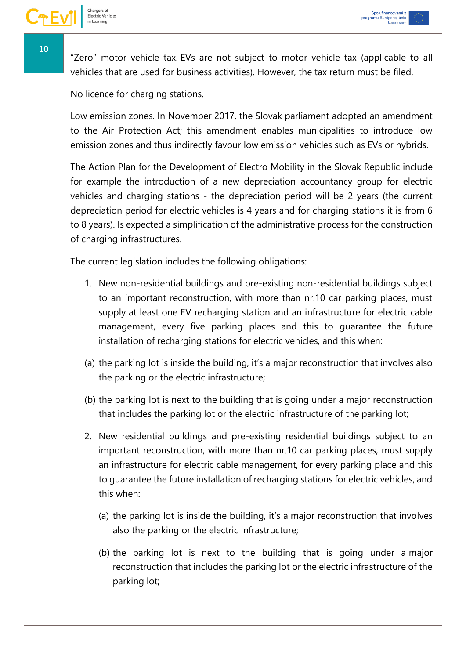"Zero" motor vehicle tax. EVs are not subject to motor vehicle tax (applicable to all vehicles that are used for business activities). However, the tax return must be filed.

No licence for charging stations.

Low emission zones. In November 2017, the Slovak parliament adopted an amendment to the Air Protection Act; this amendment enables municipalities to introduce low emission zones and thus indirectly favour low emission vehicles such as EVs or hybrids.

The Action Plan for the Development of Electro Mobility in the Slovak Republic include for example the introduction of a new depreciation accountancy group for electric vehicles and charging stations - the depreciation period will be 2 years (the current depreciation period for electric vehicles is 4 years and for charging stations it is from 6 to 8 years). Is expected a simplification of the administrative process for the construction of charging infrastructures.

The current legislation includes the following obligations:

- 1. New non-residential buildings and pre-existing non-residential buildings subject to an important reconstruction, with more than nr.10 car parking places, must supply at least one EV recharging station and an infrastructure for electric cable management, every five parking places and this to guarantee the future installation of recharging stations for electric vehicles, and this when:
- (a) the parking lot is inside the building, it's a major reconstruction that involves also the parking or the electric infrastructure;
- (b) the parking lot is next to the building that is going under a major reconstruction that includes the parking lot or the electric infrastructure of the parking lot;
- 2. New residential buildings and pre-existing residential buildings subject to an important reconstruction, with more than nr.10 car parking places, must supply an infrastructure for electric cable management, for every parking place and this to guarantee the future installation of recharging stations for electric vehicles, and this when:
	- (a) the parking lot is inside the building, it's a major reconstruction that involves also the parking or the electric infrastructure;
	- (b) the parking lot is next to the building that is going under a major reconstruction that includes the parking lot or the electric infrastructure of the parking lot;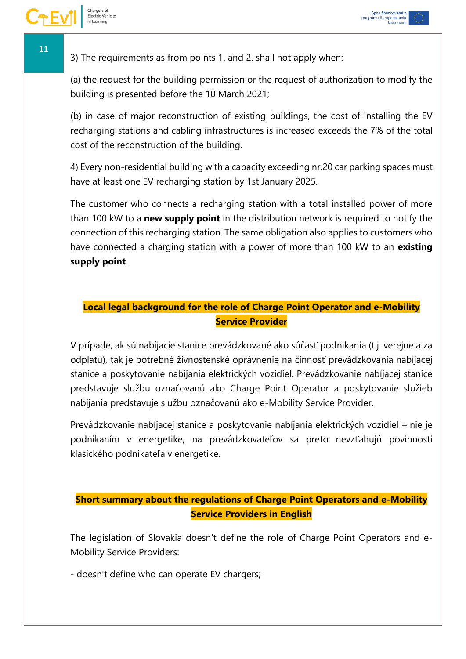3) The requirements as from points 1. and 2. shall not apply when:

(a) the request for the building permission or the request of authorization to modify the building is presented before the 10 March 2021;

(b) in case of major reconstruction of existing buildings, the cost of installing the EV recharging stations and cabling infrastructures is increased exceeds the 7% of the total cost of the reconstruction of the building.

4) Every non-residential building with a capacity exceeding nr.20 car parking spaces must have at least one EV recharging station by 1st January 2025.

The customer who connects a recharging station with a total installed power of more than 100 kW to a **new supply point** in the distribution network is required to notify the connection of this recharging station. The same obligation also applies to customers who have connected a charging station with a power of more than 100 kW to an **existing supply point**.

# <span id="page-10-0"></span>**Local legal background for the role of Charge Point Operator and e-Mobility Service Provider**

V prípade, ak sú nabíjacie stanice prevádzkované ako súčasť podnikania (t.j. verejne a za odplatu), tak je potrebné živnostenské oprávnenie na činnosť prevádzkovania nabíjacej stanice a poskytovanie nabíjania elektrických vozidiel. Prevádzkovanie nabíjacej stanice predstavuje službu označovanú ako Charge Point Operator a poskytovanie služieb nabíjania predstavuje službu označovanú ako e-Mobility Service Provider.

Prevádzkovanie nabíjacej stanice a poskytovanie nabíjania elektrických vozidiel – nie je podnikaním v energetike, na prevádzkovateľov sa preto nevzťahujú povinnosti klasického podnikateľa v energetike.

# <span id="page-10-1"></span>**Short summary about the regulations of Charge Point Operators and e-Mobility Service Providers in English**

The legislation of Slovakia doesn't define the role of Charge Point Operators and e-Mobility Service Providers:

- doesn't define who can operate EV chargers;